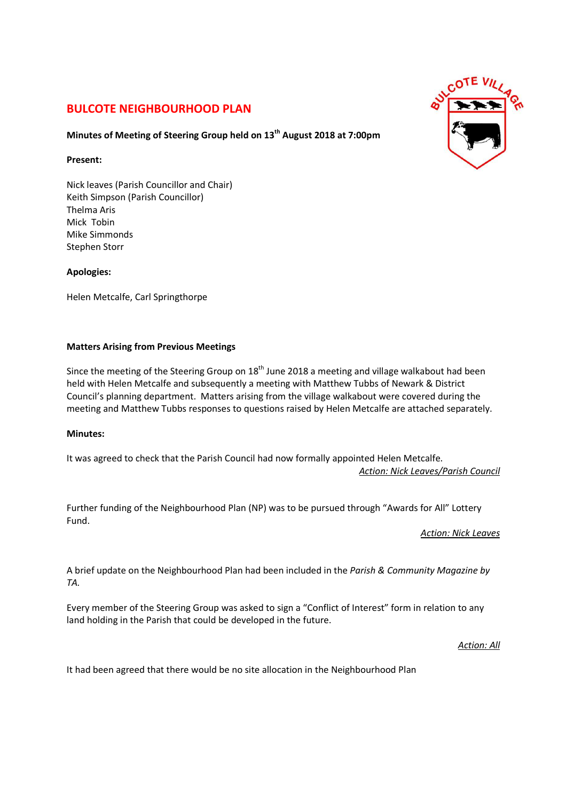# **BULCOTE NEIGHBOURHOOD PLAN**

## **Minutes of Meeting of Steering Group held on 13th August 2018 at 7:00pm**

### **Present:**

Nick leaves (Parish Councillor and Chair) Keith Simpson (Parish Councillor) Thelma Aris Mick Tobin Mike Simmonds Stephen Storr

## **Apologies:**

Helen Metcalfe, Carl Springthorpe

## **Matters Arising from Previous Meetings**

Since the meeting of the Steering Group on  $18<sup>th</sup>$  June 2018 a meeting and village walkabout had been held with Helen Metcalfe and subsequently a meeting with Matthew Tubbs of Newark & District Council's planning department. Matters arising from the village walkabout were covered during the meeting and Matthew Tubbs responses to questions raised by Helen Metcalfe are attached separately.

## **Minutes:**

It was agreed to check that the Parish Council had now formally appointed Helen Metcalfe. *Action: Nick Leaves/Parish Council* 

Further funding of the Neighbourhood Plan (NP) was to be pursued through "Awards for All" Lottery Fund.

*Action: Nick Leaves* 

A brief update on the Neighbourhood Plan had been included in the *Parish & Community Magazine by TA.*

Every member of the Steering Group was asked to sign a "Conflict of Interest" form in relation to any land holding in the Parish that could be developed in the future.

## *Action: All*

It had been agreed that there would be no site allocation in the Neighbourhood Plan

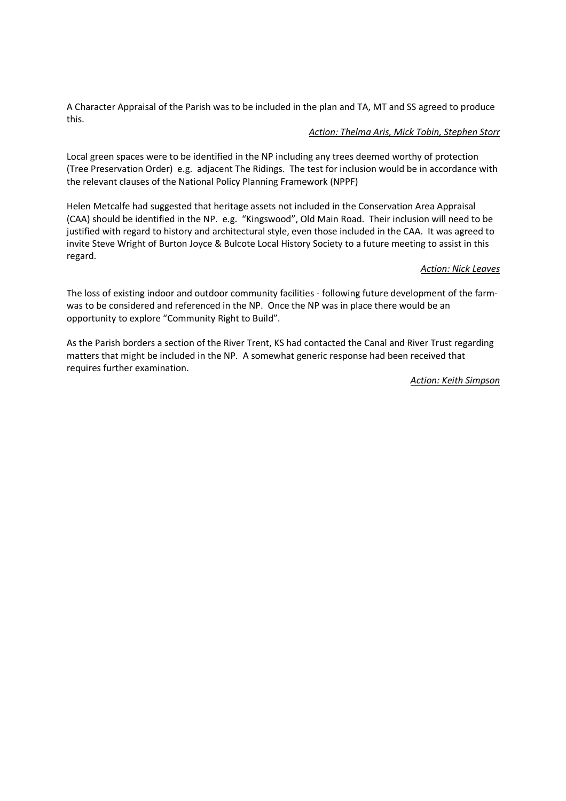A Character Appraisal of the Parish was to be included in the plan and TA, MT and SS agreed to produce this.

#### *Action: Thelma Aris, Mick Tobin, Stephen Storr*

Local green spaces were to be identified in the NP including any trees deemed worthy of protection (Tree Preservation Order) e.g. adjacent The Ridings. The test for inclusion would be in accordance with the relevant clauses of the National Policy Planning Framework (NPPF)

Helen Metcalfe had suggested that heritage assets not included in the Conservation Area Appraisal (CAA) should be identified in the NP. e.g. "Kingswood", Old Main Road. Their inclusion will need to be justified with regard to history and architectural style, even those included in the CAA. It was agreed to invite Steve Wright of Burton Joyce & Bulcote Local History Society to a future meeting to assist in this regard.

#### *Action: Nick Leaves*

The loss of existing indoor and outdoor community facilities - following future development of the farmwas to be considered and referenced in the NP. Once the NP was in place there would be an opportunity to explore "Community Right to Build".

As the Parish borders a section of the River Trent, KS had contacted the Canal and River Trust regarding matters that might be included in the NP. A somewhat generic response had been received that requires further examination.

*Action: Keith Simpson*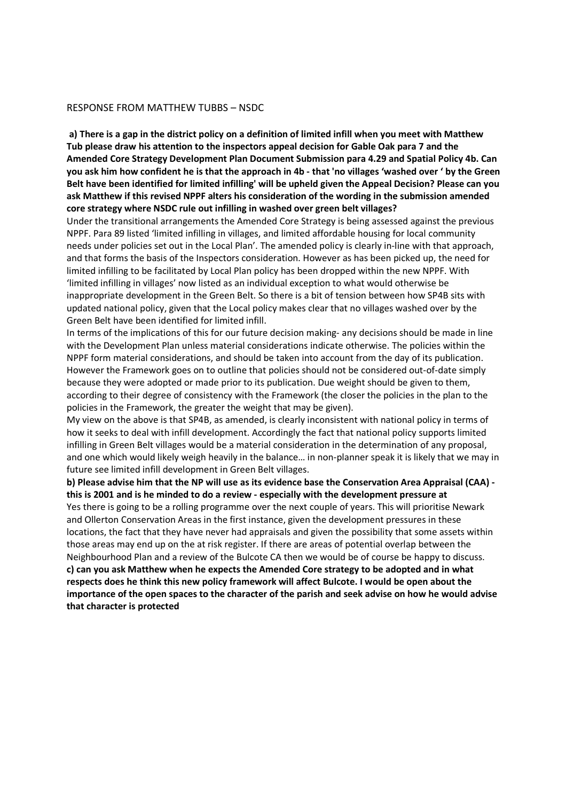#### RESPONSE FROM MATTHEW TUBBS – NSDC

**a) There is a gap in the district policy on a definition of limited infill when you meet with Matthew Tub please draw his attention to the inspectors appeal decision for Gable Oak para 7 and the Amended Core Strategy Development Plan Document Submission para 4.29 and Spatial Policy 4b. Can you ask him how confident he is that the approach in 4b - that 'no villages 'washed over ' by the Green Belt have been identified for limited infilling' will be upheld given the Appeal Decision? Please can you ask Matthew if this revised NPPF alters his consideration of the wording in the submission amended core strategy where NSDC rule out infilling in washed over green belt villages?** 

Under the transitional arrangements the Amended Core Strategy is being assessed against the previous NPPF. Para 89 listed 'limited infilling in villages, and limited affordable housing for local community needs under policies set out in the Local Plan'. The amended policy is clearly in-line with that approach, and that forms the basis of the Inspectors consideration. However as has been picked up, the need for limited infilling to be facilitated by Local Plan policy has been dropped within the new NPPF. With 'limited infilling in villages' now listed as an individual exception to what would otherwise be inappropriate development in the Green Belt. So there is a bit of tension between how SP4B sits with updated national policy, given that the Local policy makes clear that no villages washed over by the Green Belt have been identified for limited infill.

In terms of the implications of this for our future decision making- any decisions should be made in line with the Development Plan unless material considerations indicate otherwise. The policies within the NPPF form material considerations, and should be taken into account from the day of its publication. However the Framework goes on to outline that policies should not be considered out-of-date simply because they were adopted or made prior to its publication. Due weight should be given to them, according to their degree of consistency with the Framework (the closer the policies in the plan to the policies in the Framework, the greater the weight that may be given).

My view on the above is that SP4B, as amended, is clearly inconsistent with national policy in terms of how it seeks to deal with infill development. Accordingly the fact that national policy supports limited infilling in Green Belt villages would be a material consideration in the determination of any proposal, and one which would likely weigh heavily in the balance… in non-planner speak it is likely that we may in future see limited infill development in Green Belt villages.

**b) Please advise him that the NP will use as its evidence base the Conservation Area Appraisal (CAA) this is 2001 and is he minded to do a review - especially with the development pressure at** 

Yes there is going to be a rolling programme over the next couple of years. This will prioritise Newark and Ollerton Conservation Areas in the first instance, given the development pressures in these locations, the fact that they have never had appraisals and given the possibility that some assets within those areas may end up on the at risk register. If there are areas of potential overlap between the Neighbourhood Plan and a review of the Bulcote CA then we would be of course be happy to discuss. **c) can you ask Matthew when he expects the Amended Core strategy to be adopted and in what respects does he think this new policy framework will affect Bulcote. I would be open about the importance of the open spaces to the character of the parish and seek advise on how he would advise that character is protected**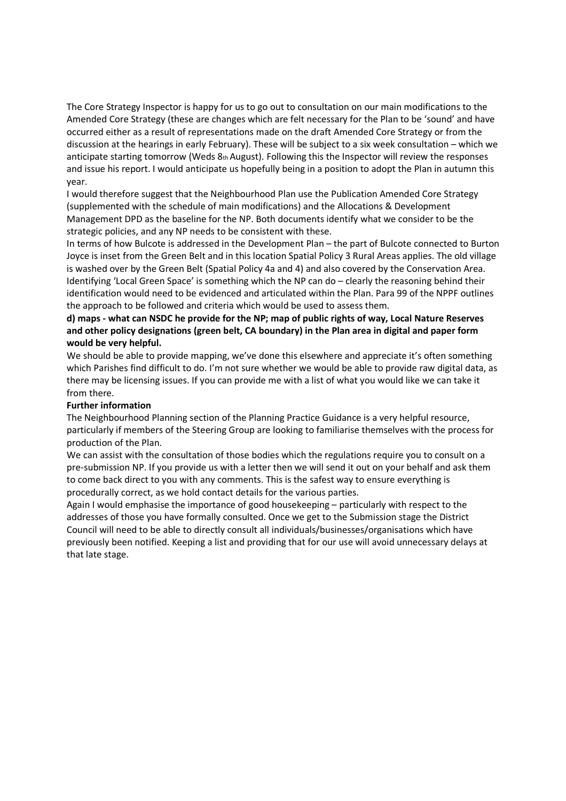The Core Strategy Inspector is happy for us to go out to consultation on our main modifications to the Amended Core Strategy (these are changes which are felt necessary for the Plan to be 'sound' and have occurred either as a result of representations made on the draft Amended Core Strategy or from the discussion at the hearings in early February). These will be subject to a six week consultation – which we anticipate starting tomorrow (Weds 8th August). Following this the Inspector will review the responses and issue his report. I would anticipate us hopefully being in a position to adopt the Plan in autumn this year.

I would therefore suggest that the Neighbourhood Plan use the Publication Amended Core Strategy (supplemented with the schedule of main modifications) and the Allocations & Development Management DPD as the baseline for the NP. Both documents identify what we consider to be the strategic policies, and any NP needs to be consistent with these.

In terms of how Bulcote is addressed in the Development Plan – the part of Bulcote connected to Burton Joyce is inset from the Green Belt and in this location Spatial Policy 3 Rural Areas applies. The old village is washed over by the Green Belt (Spatial Policy 4a and 4) and also covered by the Conservation Area. Identifying 'Local Green Space' is something which the NP can do – clearly the reasoning behind their identification would need to be evidenced and articulated within the Plan. Para 99 of the NPPF outlines the approach to be followed and criteria which would be used to assess them.

## **d) maps - what can NSDC he provide for the NP; map of public rights of way, Local Nature Reserves and other policy designations (green belt, CA boundary) in the Plan area in digital and paper form would be very helpful.**

We should be able to provide mapping, we've done this elsewhere and appreciate it's often something which Parishes find difficult to do. I'm not sure whether we would be able to provide raw digital data, as there may be licensing issues. If you can provide me with a list of what you would like we can take it from there.

## **Further information**

The Neighbourhood Planning section of the Planning Practice Guidance is a very helpful resource, particularly if members of the Steering Group are looking to familiarise themselves with the process for production of the Plan.

We can assist with the consultation of those bodies which the regulations require you to consult on a pre-submission NP. If you provide us with a letter then we will send it out on your behalf and ask them to come back direct to you with any comments. This is the safest way to ensure everything is procedurally correct, as we hold contact details for the various parties.

Again I would emphasise the importance of good housekeeping – particularly with respect to the addresses of those you have formally consulted. Once we get to the Submission stage the District Council will need to be able to directly consult all individuals/businesses/organisations which have previously been notified. Keeping a list and providing that for our use will avoid unnecessary delays at that late stage.